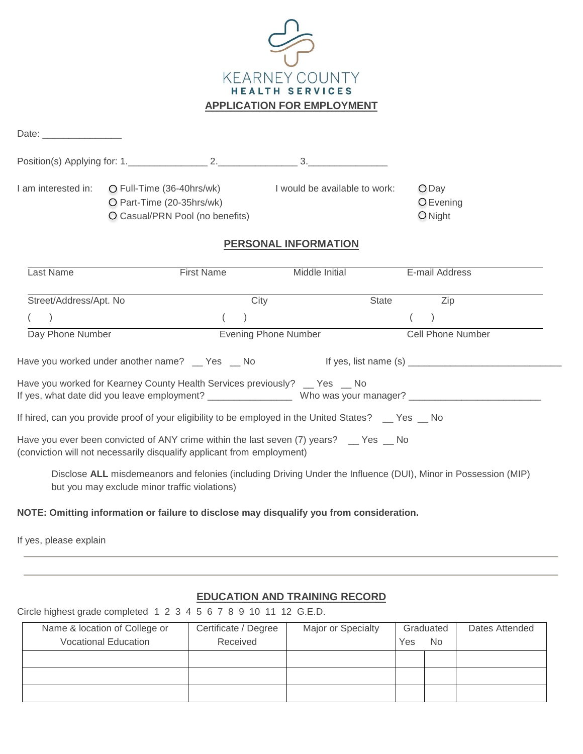

| Date: __________________                                               |                                               |                                                              |                                                                                                     |       |                                                                                                                                                                                                                                |  |
|------------------------------------------------------------------------|-----------------------------------------------|--------------------------------------------------------------|-----------------------------------------------------------------------------------------------------|-------|--------------------------------------------------------------------------------------------------------------------------------------------------------------------------------------------------------------------------------|--|
|                                                                        |                                               |                                                              |                                                                                                     |       |                                                                                                                                                                                                                                |  |
| I am interested in:                                                    | O Part-Time (20-35hrs/wk)                     | O Full-Time (36-40hrs/wk)<br>O Casual/PRN Pool (no benefits) | I would be available to work:                                                                       |       | $O$ Day<br>O Evening<br>$O$ Night                                                                                                                                                                                              |  |
|                                                                        |                                               |                                                              | <b>PERSONAL INFORMATION</b>                                                                         |       |                                                                                                                                                                                                                                |  |
| Last Name                                                              |                                               | <b>First Name</b>                                            | Middle Initial                                                                                      |       | E-mail Address                                                                                                                                                                                                                 |  |
| Street/Address/Apt. No                                                 |                                               |                                                              | City                                                                                                | State | Zip                                                                                                                                                                                                                            |  |
|                                                                        |                                               |                                                              |                                                                                                     |       |                                                                                                                                                                                                                                |  |
| Day Phone Number                                                       |                                               |                                                              | <b>Evening Phone Number</b>                                                                         |       | <b>Cell Phone Number</b>                                                                                                                                                                                                       |  |
|                                                                        |                                               |                                                              |                                                                                                     |       | Have you worked under another name?  set Yes  set No Markey and Hi yes, list name (s)  Have you worked under another name?  set Yes Shott Markey Hi yes, list name (s)  set Yes And Markey And Markey Markey Markey Markey Mar |  |
|                                                                        |                                               |                                                              | Have you worked for Kearney County Health Services previously? _ Yes _ No                           |       | If yes, what date did you leave employment? _____________________ Who was your manager? ______________________                                                                                                                 |  |
|                                                                        |                                               |                                                              | If hired, can you provide proof of your eligibility to be employed in the United States? _ Yes _ No |       |                                                                                                                                                                                                                                |  |
| (conviction will not necessarily disqualify applicant from employment) |                                               |                                                              | Have you ever been convicted of ANY crime within the last seven (7) years? _ Yes _ No               |       |                                                                                                                                                                                                                                |  |
|                                                                        | but you may exclude minor traffic violations) |                                                              |                                                                                                     |       | Disclose ALL misdemeanors and felonies (including Driving Under the Influence (DUI), Minor in Possession (MIP)                                                                                                                 |  |

## **NOTE: Omitting information or failure to disclose may disqualify you from consideration.**

If yes, please explain

## **EDUCATION AND TRAINING RECORD**

## Circle highest grade completed 1 2 3 4 5 6 7 8 9 10 11 12 G.E.D.

| Name & location of College or | Certificate / Degree | Major or Specialty | Graduated |           | Dates Attended |
|-------------------------------|----------------------|--------------------|-----------|-----------|----------------|
| <b>Vocational Education</b>   | Received             |                    | Yes       | <b>No</b> |                |
|                               |                      |                    |           |           |                |
|                               |                      |                    |           |           |                |
|                               |                      |                    |           |           |                |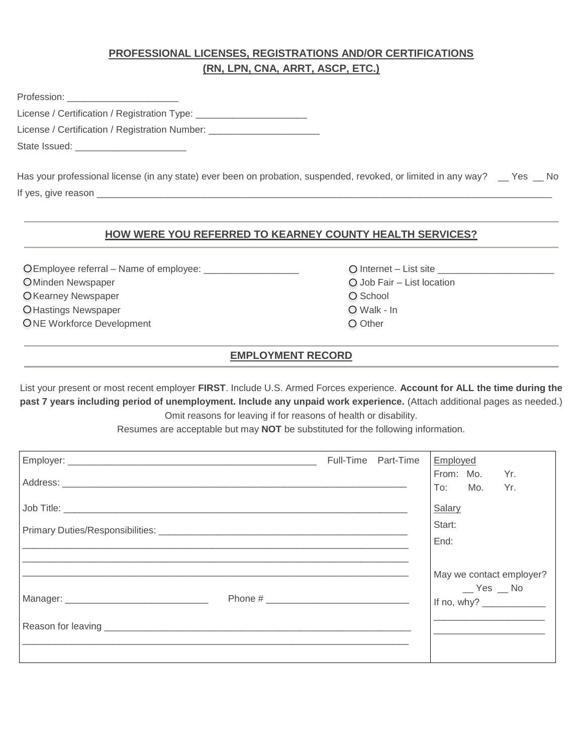# **PROFESSIONAL LICENSES, REGISTRATIONS AND/OR CERTIFICATIONS (RN, LPN, CNA, ARRT, ASCP, ETC.)**

| Profession: _________________________                                            |  |
|----------------------------------------------------------------------------------|--|
| License / Certification / Registration Type: ___________________________________ |  |
| License / Certification / Registration Number: _________________________________ |  |
| State Issued: _____________________________                                      |  |
|                                                                                  |  |

Has your professional license (in any state) ever been on probation, suspended, revoked, or limited in any way? \_\_ Yes \_\_ No If yes, give reason \_

## **HOW WERE YOU REFERRED TO KEARNEY COUNTY HEALTH SERVICES?**

 Employee referral – Name of employee: \_\_\_\_\_\_\_\_\_\_\_\_\_\_\_\_\_\_ Internet – List site \_\_\_\_\_\_\_\_\_\_\_\_\_\_\_\_\_\_\_\_\_\_ O Minden Newspaper **Job Fair – List location** O Kearney Newspaper School and The School and The School and The School and The School and The School and The School and The School and The School and The School and The School and The School and The School and The School O Hastings Newspaper Newsale All Annual Communication Communication Communication Communication Communication Communication Communication Communication Communication Communication Communication Communication Communication ONE Workforce Development **Other COME** Other

- 
- 
- 
- 

# **EMPLOYMENT RECORD**

List your present or most recent employer **FIRST**. Include U.S. Armed Forces experience. **Account for ALL the time during the past 7 years including period of unemployment. Include any unpaid work experience.** (Attach additional pages as needed.) Omit reasons for leaving if for reasons of health or disability.

Resumes are acceptable but may **NOT** be substituted for the following information.

|  | Full-Time Part-Time | Employed |                          |                                                       |
|--|---------------------|----------|--------------------------|-------------------------------------------------------|
|  |                     |          | From: Mo. Yr.<br>To: Mo. | Yr.                                                   |
|  |                     | Salary   |                          |                                                       |
|  |                     | Start:   |                          |                                                       |
|  |                     | End:     |                          |                                                       |
|  |                     |          | $-$ Yes $-$ No           | May we contact employer?<br>If no, why? $\frac{1}{2}$ |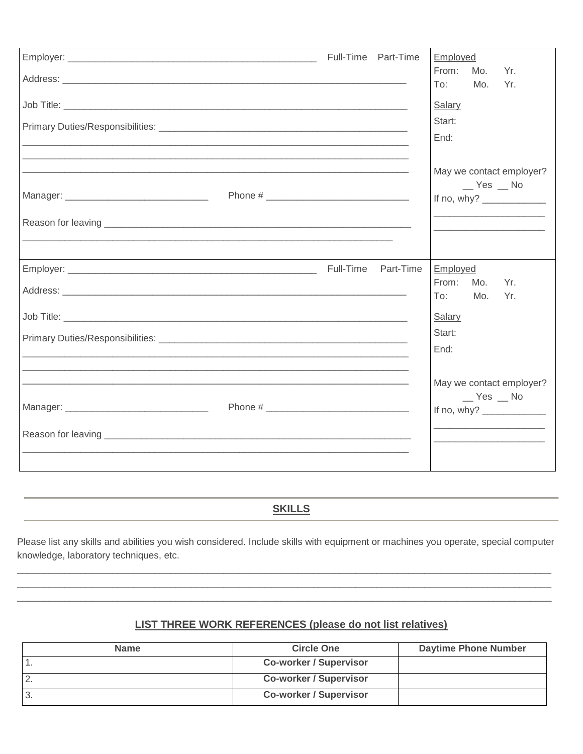|                                                                                                                  | Full-Time Part-Time |           | Employed                        |            |                                                                                                                                          |
|------------------------------------------------------------------------------------------------------------------|---------------------|-----------|---------------------------------|------------|------------------------------------------------------------------------------------------------------------------------------------------|
|                                                                                                                  |                     |           | From:<br>To:                    | Mo.<br>Mo. | Yr.<br>Yr.                                                                                                                               |
|                                                                                                                  |                     |           | Salary<br>Start:<br>End:        |            |                                                                                                                                          |
|                                                                                                                  |                     |           |                                 | $Yes$ Mo   | May we contact employer?<br>If no, why? $\frac{1}{2}$<br>the contract of the contract of the contract of the contract of the contract of |
| and the control of the control of the control of the control of the control of the control of the control of the | Full-Time           | Part-Time | Employed                        |            |                                                                                                                                          |
|                                                                                                                  |                     |           | From:<br>To:                    | Mo.<br>Mo. | Yr.<br>Yr.                                                                                                                               |
|                                                                                                                  |                     |           | <b>Salary</b><br>Start:<br>End: |            |                                                                                                                                          |
|                                                                                                                  |                     |           |                                 | $Yes$ Mo   | May we contact employer?<br>If no, why? $\frac{1}{2}$                                                                                    |
|                                                                                                                  |                     |           |                                 |            |                                                                                                                                          |

# **SKILLS**

Please list any skills and abilities you wish considered. Include skills with equipment or machines you operate, special computer knowledge, laboratory techniques, etc.

# LIST THREE WORK REFERENCES (please do not list relatives)

| <b>Name</b> | <b>Circle One</b>             | <b>Daytime Phone Number</b> |
|-------------|-------------------------------|-----------------------------|
|             | <b>Co-worker / Supervisor</b> |                             |
|             | <b>Co-worker / Supervisor</b> |                             |
| - 3.        | <b>Co-worker / Supervisor</b> |                             |